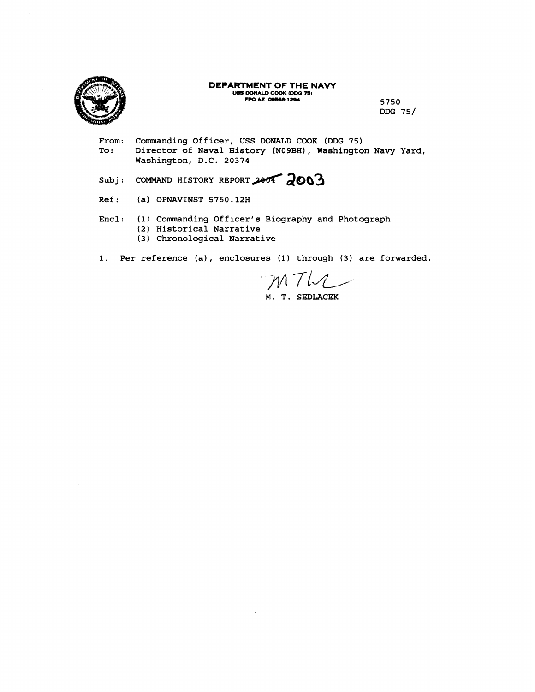

#### **DEPARTMENT OF THE NAVY USS DONALD COOK (DDG 75) FPO AE 09566-1294** 5750

**DDG 75/** 

From: Commanding Officer, USS DONALD COOK (DDG 75)<br>To: Director of Naval History (N09BH), Washingto Director of Naval History (NO9BH), Washington Navy Yard, **Washington, D.C. 20374** 

Subj: **COMMAND HISTORY REPORT** 2004 2003

- **Ref** : **(a) OPNAVINST 5750.12H**
- **Encl: (1) Commanding Officer's Biography and Photograph (2) Historical Narrative (3) Chronological Narrative**
- **1. Per reference (a), enclosures (1) through (3) are forwarded.**

MTW

**M. T. SEDLACEK**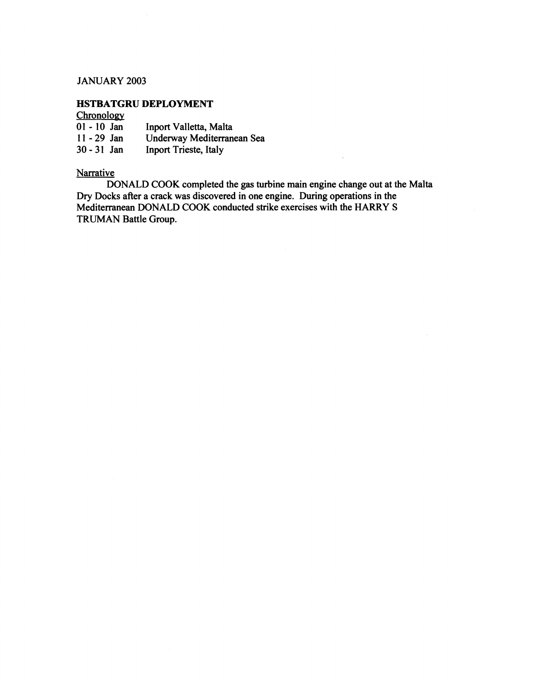## JANUARY **2003**

# **HSTBATGRU DEPLOYMENT**

## **Chronology**

| $01 - 10$ Jan | Inport Valletta, Malta     |
|---------------|----------------------------|
| $11 - 29$ Jan | Underway Mediterranean Sea |
| $30 - 31$ Jan | Inport Trieste, Italy      |

# **Narrative**

DONALD COOK completed the gas turbine main engine change out at the Malta Dry Docks after a crack was discovered in one engine. During operations in the Mediterranean DONALD COOK conducted strike exercises with the HARRY S TRUMAN Battle Group.

 $\bar{\lambda}$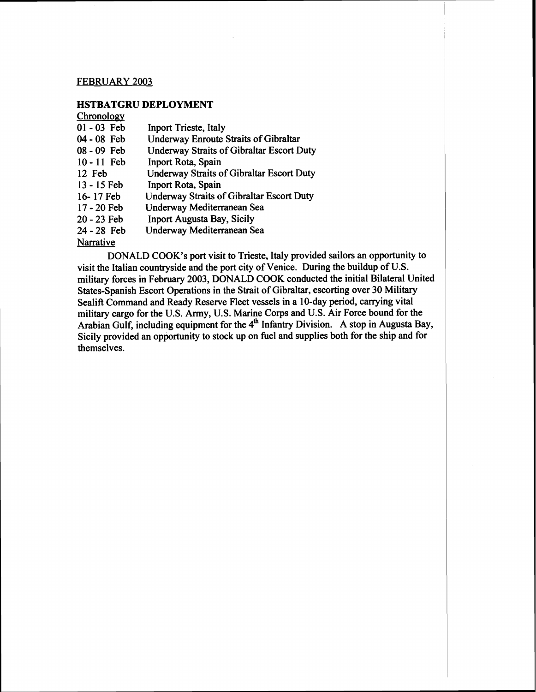## FEBRUARY 2003

## HSTBATGRU DEPLOYMENT

#### Chronologv

| $01 - 03$ Feb | <b>Inport Trieste, Italy</b>                     |
|---------------|--------------------------------------------------|
| 04 - 08 Feb   | <b>Underway Enroute Straits of Gibraltar</b>     |
| 08 - 09 Feb   | <b>Underway Straits of Gibraltar Escort Duty</b> |
| $10 - 11$ Feb | Inport Rota, Spain                               |
| 12 Feb        | <b>Underway Straits of Gibraltar Escort Duty</b> |
| 13 - 15 Feb   | Inport Rota, Spain                               |
| 16-17 Feb     | <b>Underway Straits of Gibraltar Escort Duty</b> |
| 17 - 20 Feb   | Underway Mediterranean Sea                       |
| 20 - 23 Feb   | <b>Inport Augusta Bay, Sicily</b>                |
| 24 - 28 Feb   | Underway Mediterranean Sea                       |
| Narrative     |                                                  |

DONALD COOK'S port visit to Trieste, Italy provided sailors an opportunity to visit the Italian countryside and the port city of Venice. During the buildup of U.S. military forces in February 2003, DONALD COOK conducted the initial Bilateral United States-Spanish Escort Operations in the Strait of Gibraltar, escorting over 30 Military Sealift Command and Ready Reserve Fleet vessels in a 10-day period, carrying vital military cargo for the U.S. Army, U.S. Marine Corps and U.S. Air Force bound for the Arabian Gulf, including equipment for the 4<sup>th</sup> Infantry Division. A stop in Augusta Bay, Sicily provided an opportunity to stock up on fuel and supplies both for the ship and for themselves.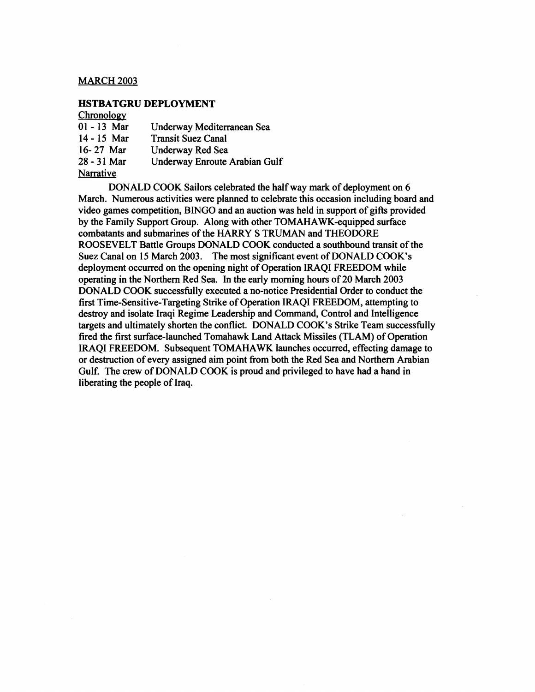## MARCH **2003**

## **HSTBATGRU DEPLOYMENT**

## **Chronology**

| $01 - 13$ Mar    | Underway Mediterranean Sea    |
|------------------|-------------------------------|
| $14 - 15$ Mar    | <b>Transit Suez Canal</b>     |
| 16-27 Mar        | Underway Red Sea              |
| 28 - 31 Mar      | Underway Enroute Arabian Gulf |
| <b>Narrative</b> |                               |

DONALD COOK Sailors celebrated the half way mark of deployment on 6 March. Numerous activities were planned to celebrate this occasion including board and video games competition, BINGO and an auction was held in support of gifts provided by the Family Support Group. Along with other TOMAHAWK-equipped surface combatants and submarines of the HARRY S TRUMAN and THEODORE ROOSEVELT Battle Groups DONALD COOK conducted a southbound transit of the Suez Canal on 15 March **2003.** The most significant event of DONALD COOK's deployment occurred on the opening night of Operation IRAQI FREEDOM while operating in the Northern Red Sea. In the early morning hours of **20** March **2003**  DONALD COOK successfully executed a no-notice Presidential Order to conduct the first Time-Sensitive-Targeting Stike of Operation IRAQI FREEDOM, attempting to destroy and isolate Iraqi Regime Leadership and Command, Control and Intelligence targets and ultimately shorten the conflict. DONALD COOK's Strike Team successfully fired the first surface-launched Tomahawk Land Attack Missiles (TLAM) of Operation IRAQI FREEDOM. Subsequent TOMAHAWK launches occurred, effecting damage to or destruction of every assigned aim point from both the Red Sea and Northern Arabian Gulf. The crew of DONALD COOK is proud and privileged to have had a hand in liberating the people of Iraq.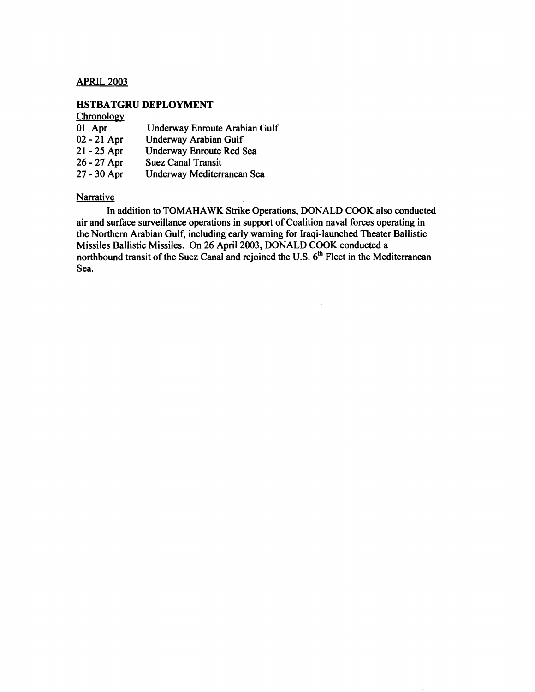## APRIL 2003

## **HSTBATGRU DEPLOYMENT**

## Chronology

| 01 Apr        | Underway Enroute Arabian Gulf |
|---------------|-------------------------------|
| 02 - 21 Apr   | Underway Arabian Gulf         |
| $21 - 25$ Apr | Underway Enroute Red Sea      |
| $26 - 27$ Apr | <b>Suez Canal Transit</b>     |
| 27 - 30 Apr   | Underway Mediterranean Sea    |

## **Narrative**

In addition to TOMAHAWK Strike Operations, DONALD COOK also conducted air and surface surveillance operations in support of Coalition naval forces operating in the Northern Arabian Gulf, including early warning for Iraqi-launched Theater Ballistic Missiles Ballistic Missiles. On 26 April 2003, DONALD COOK conducted a northbound transit of the Suez Canal and rejoined the U.S. 6<sup>th</sup> Fleet in the Mediterranean Sea.

 $\mathcal{A}^{\pm}$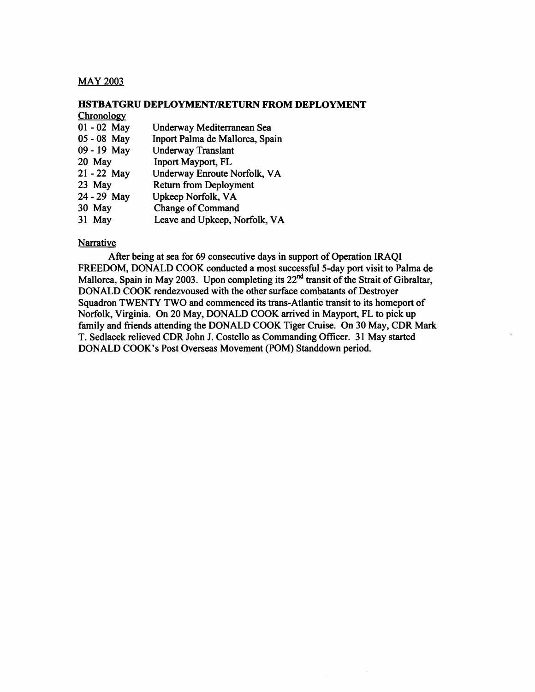## MAY 2003

#### **HSTBATGRU DEPLOYMENTIRETURN FROM DEPLOYMENT**

| Chronology    |                                 |
|---------------|---------------------------------|
| $01 - 02$ May | Underway Mediterranean Sea      |
| 05 - 08 May   | Inport Palma de Mallorca, Spain |
| 09 - 19 May   | <b>Underway Translant</b>       |
| 20 May        | Inport Mayport, FL              |
| $21 - 22$ May | Underway Enroute Norfolk, VA    |
| 23 May        | <b>Return from Deployment</b>   |
| 24 - 29 May   | Upkeep Norfolk, VA              |
| 30 May        | <b>Change of Command</b>        |
| 31 May        | Leave and Upkeep, Norfolk, VA   |

## **Narrative**

After being at sea for 69 consecutive days in support of Operation IRAQI FREEDOM, DONALD COOK conducted a most successful 5-day port visit to Palma de Mallorca, Spain in May 2003. Upon completing its **22nd** transit of the Strait of Gibraltar, DONALD COOK rendezvoused with the other surface combatants of Destroyer Squadron TWENTY TWO and commenced its trans-Atlantic transit to its homeport of Norfolk, Virginia. On 20 May, DONALD COOK arrived in Mayport, FL to pick up family and friends attending the DONALD COOK Tiger Cruise. On 30 May, CDR Mark T. Sedlacek relieved CDR John J. Costello as Commanding Officer. 3 1 May started DONALD COOK'S Post Overseas Movement (POM) Standdown period.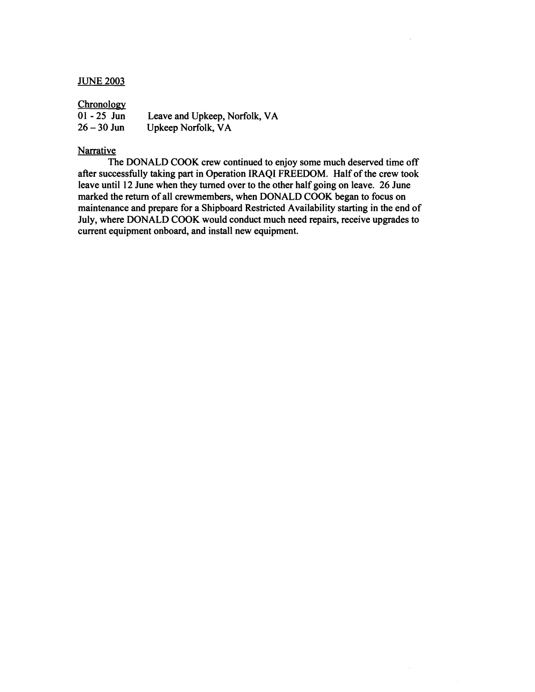#### **JUNE 2003**

#### Chronology

| $01 - 25$ Jun | Leave and Upkeep, Norfolk, VA |
|---------------|-------------------------------|
| $26 - 30$ Jun | Upkeep Norfolk, VA            |

## Narrative

The DONALD COOK crew continued to enjoy some much deserved time off after successfully taking part in Operation IRAQI FREEDOM. Half of the crew took leave until **12** June when they turned over to the other half going on leave. **26** June marked the return of all crewmembers, when DONALD COOK began to focus on maintenance and prepare for a Shipboard Restricted Availability starting in the end of July, where DONALD COOK would conduct much need repairs, receive upgrades to current equipment onboard, and install new equipment.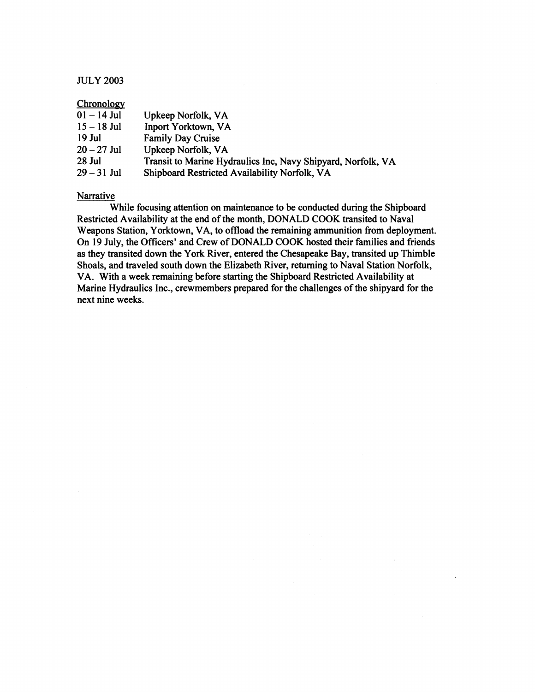## JULY **2003**

| Chronology    |                                                              |
|---------------|--------------------------------------------------------------|
| $01 - 14$ Jul | Upkeep Norfolk, VA                                           |
| $15 - 18$ Jul | <b>Inport Yorktown, VA</b>                                   |
| 19 Jul        | <b>Family Day Cruise</b>                                     |
| $20 - 27$ Jul | Upkeep Norfolk, VA                                           |
| 28 Jul        | Transit to Marine Hydraulics Inc, Navy Shipyard, Norfolk, VA |
| $29 - 31$ Jul | Shipboard Restricted Availability Norfolk, VA                |

#### **Narrative**

While focusing attention on maintenance to be conducted during the Shipboard Restricted Availability at the end of the month, DONALD COOK transited to Naval Weapons Station, Yorktown, VA, to offload the remaining ammunition from deployment. On 19 July, the Officers' and Crew of DONALD COOK hosted their families and friends as they transited down the York River, entered the Chesapeake Bay, transited up Thimble Shoals, and traveled south down the Elizabeth River, returning to Naval Station Norfolk, VA. With a week remaining before starting the Shipboard Restricted Availability at Marine Hydraulics Inc., crewmembers prepared for the challenges of the shipyard for the next nine weeks.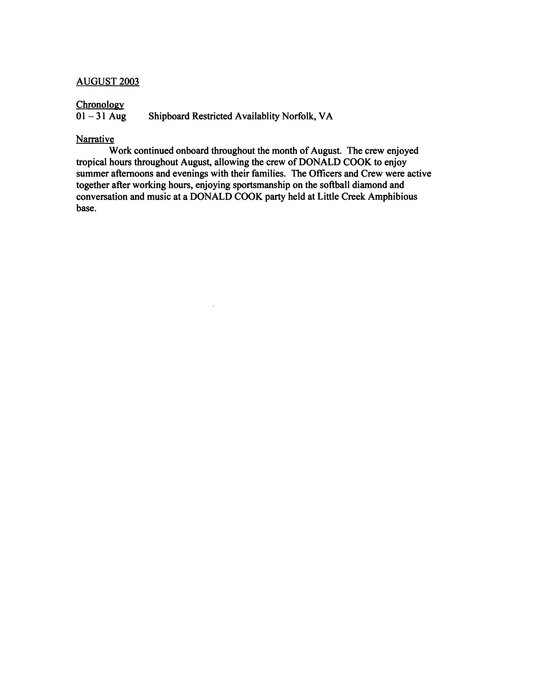## AUGUST **2003**

# $\frac{\text{Chronology}}{01-31 \text{ Aug}}$

**Shipboard Restricted Availablity Norfolk, VA** 

 $\bar{a}$ 

## **Narrative**

Work continued onboard throughout the month of August. The crew enjoyed tropical hours throughout August, allowing the crew of DONALD COOK to enjoy summer afternoons and evenings with their families. The Officers and Crew were active together after working hours, enjoying sportsmanship on the softball diamond and conversation and music at a DONALD COOK party held at Little Creek Amphibious base.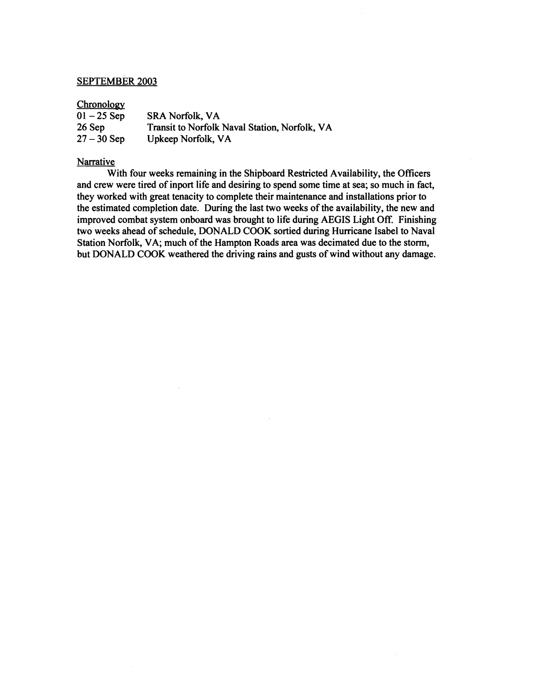## SEPTEMBER **2003**

#### Chronology

| <b>SRA Norfolk, VA</b>                        |
|-----------------------------------------------|
| Transit to Norfolk Naval Station, Norfolk, VA |
| Upkeep Norfolk, VA                            |
|                                               |

## **Narrative**

With four weeks remaining in the Shipboard Restricted Availability, the Oficers and crew were tired of inport life and desiring to spend some time at sea; so much in fact, they worked with great tenacity to complete their maintenance and installations prior to the estimated completion date. During the last two weeks of the availability, the new and improved combat system onboard was brought to life during AEGIS Light Off. Finishing two weeks ahead of schedule, DONALD COOK sortied during Hurricane Isabel to Naval Station Norfolk, VA; much of the Hampton Roads area was decimated due to the storm, but DONALD COOK weathered the driving rains and gusts of wind without any damage.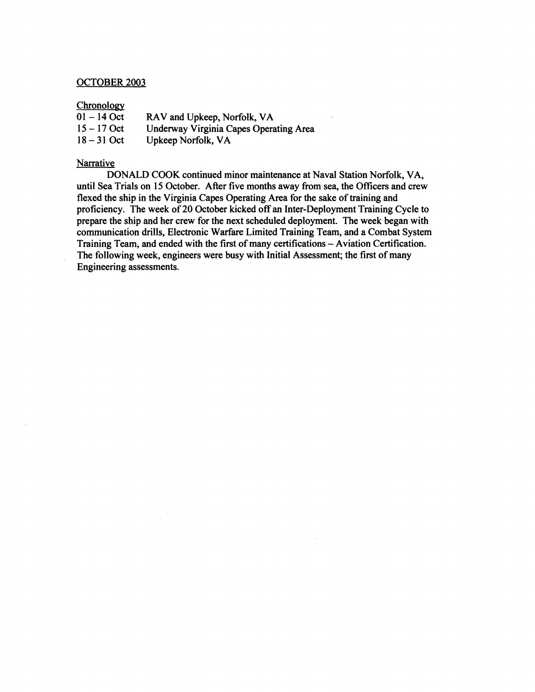## OCTOBER 2003

## Chronology

| CHronology    |                                        |
|---------------|----------------------------------------|
| $01 - 14$ Oct | RAV and Upkeep, Norfolk, VA            |
| $15 - 17$ Oct | Underway Virginia Capes Operating Area |
| $18 - 31$ Oct | Upkeep Norfolk, VA                     |
|               |                                        |

 $\sim$ 

## **Narrative**

DONALD COOK continued minor maintenance at Naval Station Norfolk, VA, until Sea Trials on 15 October. After five months away from sea, the Officers and crew flexed the ship in the Virginia Capes Operating Area for the sake of training and proficiency. The week of 20 October kicked off an Inter-Deployment Training Cycle to prepare the ship and her crew for the next scheduled deployment. The week began with communication drills, Electronic Warfare Limited Training Team, and a Combat System Training Team, and ended with the first of many certifications - Aviation Certification. The following week, engineers were busy with Initial Assessment; the first of many Engineering assessments.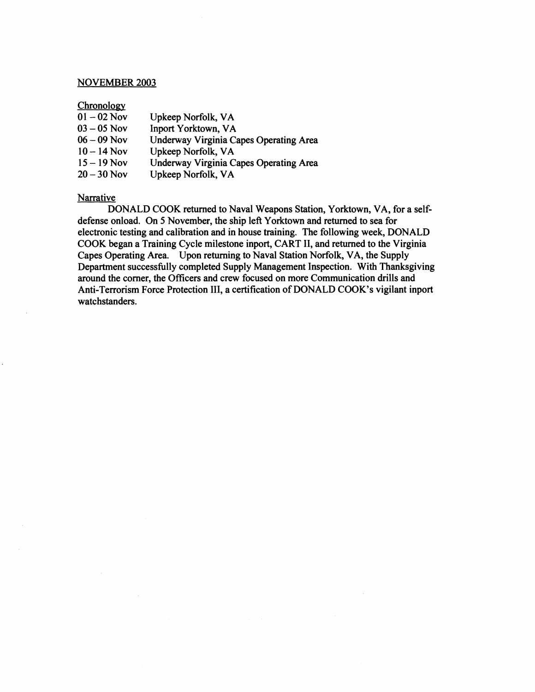#### NOVEMBER **2003**

#### Chronology

| Chronology    |                                        |
|---------------|----------------------------------------|
| $01 - 02$ Nov | Upkeep Norfolk, VA                     |
| $03 - 05$ Nov | <b>Inport Yorktown, VA</b>             |
| $06 - 09$ Nov | Underway Virginia Capes Operating Area |
| $10 - 14$ Nov | Upkeep Norfolk, VA                     |
| $15 - 19$ Nov | Underway Virginia Capes Operating Area |
| $20 - 30$ Nov | Upkeep Norfolk, VA                     |
|               |                                        |

#### **Narrative**

DONALD COOK returned to Naval Weapons Station, Yorktown, VA, for a selfdefense onload. On **5** November, the ship left Yorktown and returned to sea for electronic testing and calibration and in house training. The following week, DONALD COOK began a Training Cycle milestone inport, CART II, and returned to the Virginia Capes Operating Area. Upon returning to Naval Station Norfolk, VA, the Supply Department successfully completed Supply Management Inspection. With Thanksgiving around the comer, the Oficers and crew focused on more Communication drills and Anti-Terrorism Force Protection 111, a certification of DONALD COOK'S vigilant inport watchstanders.